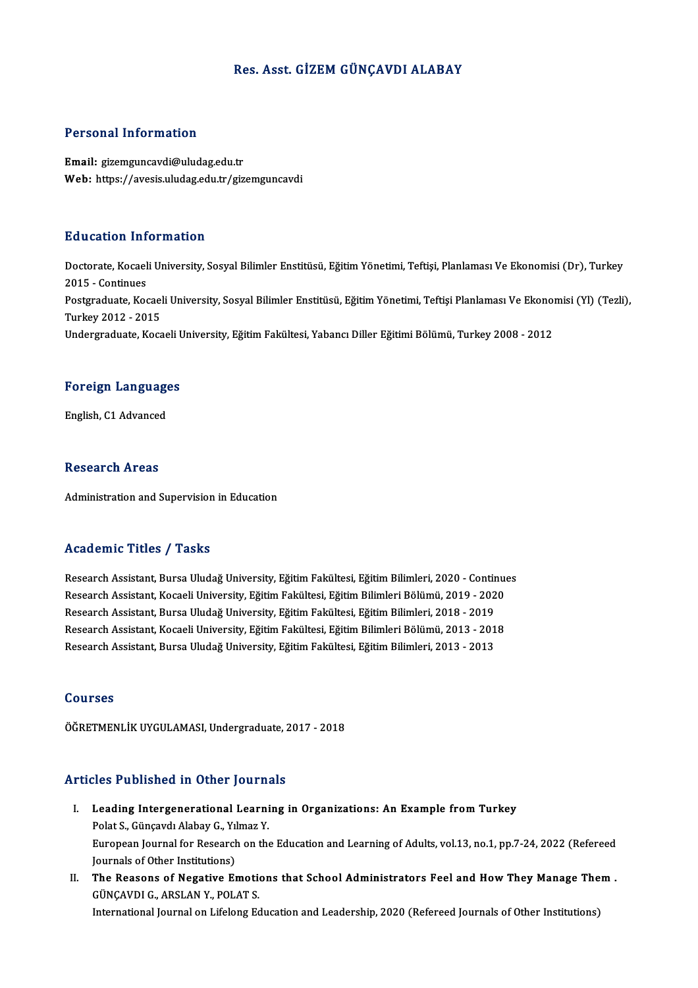### Res. Asst. GİZEM GÜNÇAVDI ALABAY

#### Personal Information

Email: gizemguncavdi@uludag.edu.tr Web: https://avesis.uludag.edu.tr/gizemguncavdi

#### Education Information

**Education Information**<br>Doctorate, Kocaeli University, Sosyal Bilimler Enstitüsü, Eğitim Yönetimi, Teftişi, Planlaması Ve Ekonomisi (Dr), Turkey<br>2015 - Continues Euclescom<br>Doctorate, Kocael<br>2015 - Continues<br>Postareduate, Kos Doctorate, Kocaeli University, Sosyal Bilimler Enstitüsü, Eğitim Yönetimi, Teftişi, Planlaması Ve Ekonomisi (Dr), Turkey<br>2015 - Continues<br>Postgraduate, Kocaeli University, Sosyal Bilimler Enstitüsü, Eğitim Yönetimi, Teftiş 2015 - Continues<br>Postgraduate, Kocael<br>Turkey 2012 - 2015<br>Undergraduate, Koca Postgraduate, Kocaeli University, Sosyal Bilimler Enstitüsü, Eğitim Yönetimi, Teftişi Planlaması Ve Ekonoı<br>Turkey 2012 - 2015<br>Undergraduate, Kocaeli University, Eğitim Fakültesi, Yabancı Diller Eğitimi Bölümü, Turkey 2008

## <sub>ondergraduate, Kocaen t<br>Foreign Languages</sub> F<mark>oreign Languag</mark>e<br>English, C1 Advanced

English, C1 Advanced<br>Research Areas

Administration and Supervision in Education

### Academic Titles / Tasks

Research Assistant, Bursa Uludağ University, Eğitim Fakültesi, Eğitim Bilimleri, 2020 - Continues rreaarch Assistant, Bursa Uludağ University, Eğitim Fakültesi, Eğitim Bilimleri, 2020 - Continu<br>Research Assistant, Kocaeli University, Eğitim Fakültesi, Eğitim Bilimleri Bölümü, 2019 - 2020<br>Besearch Assistant, Bursa Uluda Research Assistant, Bursa Uludağ University, Eğitim Fakültesi, Eğitim Bilimleri, 2020 - Contin<br>Research Assistant, Kocaeli University, Eğitim Fakültesi, Eğitim Bilimleri Bölümü, 2019 - 202<br>Research Assistant, Bursa Uludağ Research Assistant, Kocaeli University, Eğitim Fakültesi, Eğitim Bilimleri Bölümü, 2019 - 2020<br>Research Assistant, Bursa Uludağ University, Eğitim Fakültesi, Eğitim Bilimleri, 2018 - 2019<br>Research Assistant, Kocaeli Univer Research Assistant, Bursa Uludağ University, Eğitim Fakültesi, Eğitim Bilimleri, 2018 - 2019<br>Research Assistant, Kocaeli University, Eğitim Fakültesi, Eğitim Bilimleri Bölümü, 2013 - 201<br>Research Assistant, Bursa Uludağ Un Research Assistant, Bursa Uludağ University, Eğitim Fakültesi, Eğitim Bilimleri, 2013 - 2013<br>Courses

ÖĞRETMENLİKUYGULAMASI,Undergraduate,2017 -2018

### Articles Published in Other Journals

- rticles Published in Other Journals<br>I. Leading Intergenerational Learning in Organizations: An Example from Turkey Polat S., Günched III ocher Journal<br>Polat S., Günçavdı Alabay G., Yılmaz Y.<br>Furansan Journal far Bessarsh on the Leading Intergenerational Learning in Organizations: An Example from Turkey<br>Polat S., Günçavdı Alabay G., Yılmaz Y.<br>European Journal for Research on the Education and Learning of Adults, vol.13, no.1, pp.7-24, 2022 (Refere Polat S., Günçavdı Alabay G., Yıl<br>European Journal for Research<br>Journals of Other Institutions)<br>The Bessens of Negative Er European Journal for Research on the Education and Learning of Adults, vol.13, no.1, pp.7-24, 2022 (Refereed<br>Journals of Other Institutions)<br>II. The Reasons of Negative Emotions that School Administrators Feel and How They
- Journals of Other Institutions)<br>The Reasons of Negative Emotion<br>GÜNÇAVDI G., ARSLAN Y., POLAT S. The Reasons of Negative Emotions that School Administrators Feel and How They Manage The<br>GÜNÇAVDI G., ARSLAN Y., POLAT S.<br>International Journal on Lifelong Education and Leadership, 2020 (Refereed Journals of Other Institu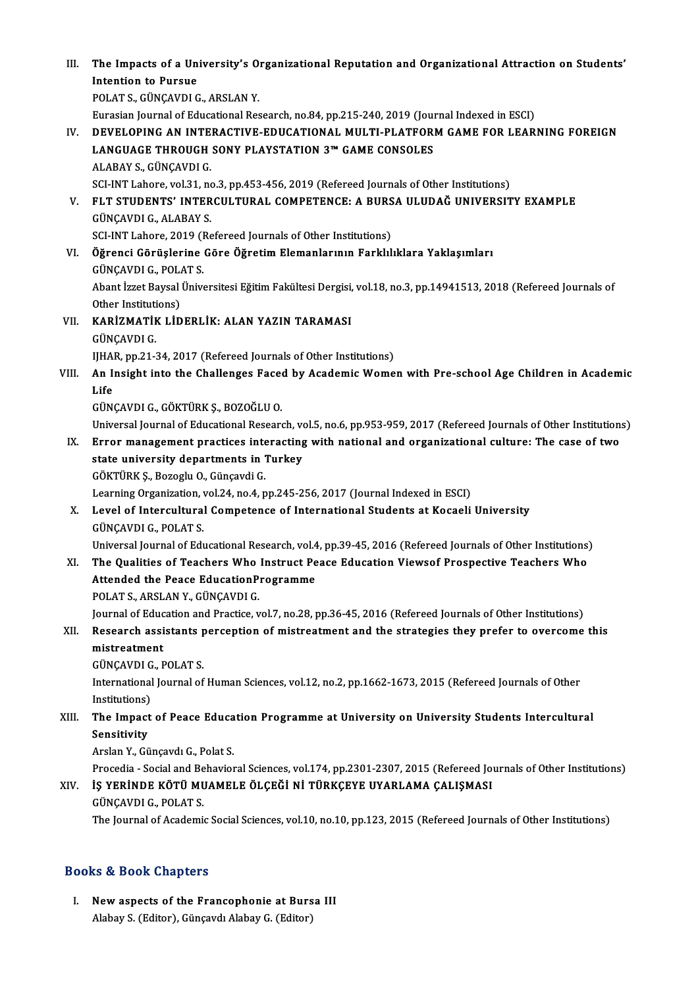III. The Impacts of a University's Organizational Reputation and Organizational Attraction on Students'<br>Intention to Pursue The Impacts of a Un<br>Intention to Pursue<br>POLATS CÜNCAVDLC Intention to Pursue<br>POLAT S., GÜNCAVDI G., ARSLAN Y. Intention to Pursue<br>POLAT S., GÜNÇAVDI G., ARSLAN Y.<br>Eurasian Journal of Educational Research, no.84, pp.215-240, 2019 (Journal Indexed in ESCI)<br>DEVELOPING AN INTERACTIVE EDUCATIONAL MIU TI PLATEORM GAME FOR LEAP. IV. DEVELOPING AN INTERACTIVE-EDUCATIONAL MULTI-PLATFORMGAME FOR LEARNING FOREIGN Eurasian Journal of Educational Research, no.84, pp.215-240, 2019 (Journal Developing AN INTERACTIVE-EDUCATIONAL MULTI-PLATFORING AN INTERACTIVE-EDUCATION 3™ GAME CONSOLES LANGUAGE THROUGH SONY PLAYSTATION 3<sup>m</sup> GAME CONSOLES ALABAY S., GÜNCAVDI G. SCI-INT Lahore, vol.31, no.3, pp.453-456, 2019 (Refereed Journals of Other Institutions) ALABAY S., GÜNÇAVDI G.<br>SCI-INT Lahore, vol.31, no.3, pp.453-456, 2019 (Refereed Journals of Other Institutions)<br>V. FLT STUDENTS' INTERCULTURAL COMPETENCE: A BURSA ULUDAĞ UNIVERSITY EXAMPLE<br>CÜNCAVDLC ALARAY S SCI-INT Lahore, vol.31, no<br>FLT STUDENTS' INTER<br>GÜNÇAVDI G., ALABAY S.<br>SCI INT Labore 2019 (Re FLT STUDENTS' INTERCULTURAL COMPETENCE: A BURS<br>GÜNÇAVDI G., ALABAY S.<br>SCI-INT Lahore, 2019 (Refereed Journals of Other Institutions)<br>Öğrengi Cönüslerine Cöre Öğretim Elemenlerunu Ferklal GÜNÇAVDI G., ALABAY S.<br>SCI-INT Lahore, 2019 (Refereed Journals of Other Institutions)<br>VI. Öğrenci Görüşlerine Göre Öğretim Elemanlarının Farklılıklara Yaklaşımları GÜNÇAVDIG.,POLATS. Öğrenci Görüşlerine Göre Öğretim Elemanlarının Farklılıklara Yaklaşımları<br>GÜNÇAVDI G., POLAT S.<br>Abant İzzet Baysal Üniversitesi Eğitim Fakültesi Dergisi, vol.18, no.3, pp.14941513, 2018 (Refereed Journals of GÜNÇAVDI G., POLA<br>Abant İzzet Baysal<br>Other Institutions)<br>KARİZMATİK LİD VI . KARİZMATİK LİDERLİK: ALAN YAZIN TARAMASI Other Instituti<br>KARİZMATİF<br>GÜNÇAVDI G.<br>UHAP. pp.21.2 GÜNÇAVDI G.<br>IJHAR, pp.21-34, 2017 (Refereed Journals of Other Institutions) GÜNÇAVDI G.<br>IJHAR, pp.21-34, 2017 (Refereed Journals of Other Institutions)<br>VIII. An Insight into the Challenges Faced by Academic Women with Pre-school Age Children in Academic IJHA<br><mark>An I</mark>I<br>Life<br>CÜN An Insight into the Challenges Face<br>Life<br>GÜNÇAVDI G., GÖKTÜRK Ş., BOZOĞLU O.<br>Universal Journal of Educational Bosoare Life<br>GÜNÇAVDI G., GÖKTÜRK Ş., BOZOĞLU O.<br>Universal Journal of Educational Research, vol.5, no.6, pp.953-959, 2017 (Refereed Journals of Other Institutions) GÜNÇAVDI G., GÖKTÜRK Ş., BOZOĞLU O.<br>Universal Journal of Educational Research, vol.5, no.6, pp.953-959, 2017 (Refereed Journals of Other Institution<br>IX. Error management practices interacting with national and organization Universal Journal of Educational Research, vo<br>Error management practices interacting<br>state university departments in Turkey<br>CÖVTÜPK S. Borogly O. Güncaydi C Error management practices inte<br>state university departments in '<br>GÖKTÜRK Ş., Bozoglu O., Günçavdi G.<br>Learning Organization vel 24 no 4 n state university departments in Turkey<br>GÖKTÜRK Ş., Bozoglu O., Günçavdi G.<br>Learning Organization, vol.24, no.4, pp.245-256, 2017 (Journal Indexed in ESCI)<br>Level of Intergultural Compatence of International Students et Koss GÖKTÜRK Ş., Bozoglu O., Günçavdi G.<br>Learning Organization, vol.24, no.4, pp.245-256, 2017 (Journal Indexed in ESCI)<br>X. Level of Intercultural Competence of International Students at Kocaeli University<br>GÜNÇAVDI G., POLAT S. Learning Organization,<br>Level of Intercultura<br>GÜNÇAVDI G., POLAT S.<br>Universel Journal of Ed. Level of Intercultural Competence of International Students at Kocaeli University<br>GÜNÇAVDI G., POLAT S.<br>Universal Journal of Educational Research, vol.4, pp.39-45, 2016 (Refereed Journals of Other Institutions)<br>The Queliti GÜNÇAVDI G., POLAT S.<br>Universal Journal of Educational Research, vol.4, pp.39-45, 2016 (Refereed Journals of Other Institutions)<br>XI. The Qualities of Teachers Who Instruct Peace Education Viewsof Prospective Teachers Who Universal Journal of Educational Research, vol.4<br>The Qualities of Teachers Who Instruct Pe<br>Attended the Peace EducationProgramme<br>POLATS ARSLAN Y CÜNCAVDLC XI. The Qualities of Teachers Who Instruct Peace Education Viewsof Prospective Teachers Who Attended the Peace EducationProgramme<br>POLAT S., ARSLAN Y., GÜNÇAVDI G. Attended the Peace EducationProgramme<br>POLAT S., ARSLAN Y., GÜNÇAVDI G.<br>Journal of Education and Practice, vol.7, no.28, pp.36-45, 2016 (Refereed Journals of Other Institutions)<br>Researsh essistants persention of mistrestmen POLAT S., ARSLAN Y., GÜNÇAVDI G.<br>Journal of Education and Practice, vol.7, no.28, pp.36-45, 2016 (Refereed Journals of Other Institutions)<br>XII. Research assistants perception of mistreatment and the strategies they prefer Journal of Educ<br>Research assi<br>mistreatment<br>CÜNCAVDLC Research assistants<br>mistreatment<br>GÜNÇAVDI G., POLAT S.<br>International Journal of mistreatment<br>GÜNÇAVDI G., POLAT S.<br>International Journal of Human Sciences, vol.12, no.2, pp.1662-1673, 2015 (Refereed Journals of Other<br>Institutions) GÜNÇAVDI G<br>International<br>Institutions)<br>The Impact International Journal of Human Sciences, vol.12, no.2, pp.1662-1673, 2015 (Refereed Journals of Other<br>Institutions)<br>XIII. The Impact of Peace Education Programme at University on University Students Intercultural<br>Songitivi Institutions)<br>The Impact<br>Sensitivity<br>Arclan Y. Gü The Impact of Peace Educa<br>Sensitivity<br>Arslan Y., Günçavdı G., Polat S.<br>Prosedia, Sosial and Pobayion Sensitivity<br>Arslan Y., Günçavdı G., Polat S.<br>Procedia - Social and Behavioral Sciences, vol.174, pp.2301-2307, 2015 (Refereed Journals of Other Institutions)<br>is VERINDE KÖTÜ MUAMELE ÖLCEĞİ Nİ TÜRKCEVE UVARLAMA CALISMASI XIV. İŞ YERİNDE KÖTÜMUAMELE ÖLÇEĞİ Nİ TÜRKÇEYE UYARLAMA ÇALIŞMASI Procedia - Social and Be<br>**İŞ YERİNDE KÖTÜ MU**<br>GÜNÇAVDI G., POLAT S.<br>The Journal of Asademi XIV. **İŞ YERİNDE KÖTÜ MUAMELE ÖLÇEĞİ Nİ TÜRKÇEYE UYARLAMA ÇALIŞMASI**<br>GÜNÇAVDI G., POLAT S.<br>The Journal of Academic Social Sciences, vol.10, no.10, pp.123, 2015 (Refereed Journals of Other Institutions)

### Books&Book Chapters

ooks & Book Chapters<br>I. New aspects of the Francophonie at Bursa III<br>Alabay S. (Editor), Cüneavd: Alabay C. (Editor) New aspects of the Francophonie at Burs<br>Alabay S. (Editor), Günçavdı Alabay G. (Editor)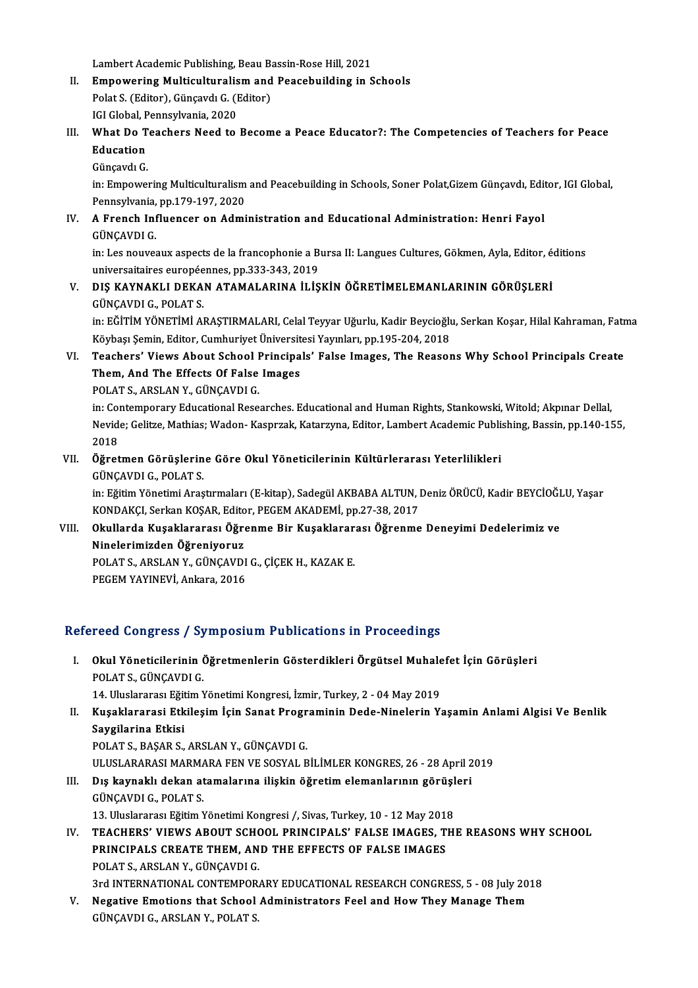Lambert Academic Publishing, Beau Bassin-Rose Hill, 2021<br>Emnovening Multisultunalism and Bassabuilding in S

- Lambert Academic Publishing, Beau Bassin-Rose Hill, 2021<br>II. Empowering Multiculturalism and Peacebuilding in Schools<br>Relat S. (Editor), Cüneaud: C. (Editor) Lambert Academic Publishing, Beau Ba<br>Empowering Multiculturalism and<br>Polat S. (Editor), Günçavdı G. (Editor)<br>IGLGlabel Bennsylvania, 2020 Empowering Multiculturalis<br>Polat S. (Editor), Günçavdı G. (I<br>IGI Global, Pennsylvania, 2020<br>What De Teeshers Need to
- Polat S. (Editor), Günçavdı G. (Editor)<br>IGI Global, Pennsylvania, 2020<br>III. What Do Teachers Need to Become a Peace Educator?: The Competencies of Teachers for Peace<br>Education IGI Global, Pennsylvania, 2020<br>What Do Teachers Need to<br>Education<br>Günçavdı G. What Do T<br>Education<br>Günçavdı G.<br>in: Emnovol
	-

Education<br>Günçavdı G.<br>in: Empowering Multiculturalism and Peacebuilding in Schools, Soner Polat,Gizem Günçavdı, Editor, IGI Global,<br>Pennsylvania, pp.179,197,2020 Günçavdı G.<br>in: Empowering Multiculturalism<br>Pennsylvania, pp.179-197, 2020<br>A. Erensh Influenser en Admi in: Empowering Multiculturalism and Peacebuilding in Schools, Soner Polat,Gizem Günçavdı, Edit<br>Pennsylvania, pp.179-197, 2020<br>IV. A French Influencer on Administration and Educational Administration: Henri Fayol

### Pennsylvania,<br>A French Inf<br>GÜNÇAVDI G.<br>in: Les nouves A French Influencer on Administration and Educational Administration: Henri Fayol<br>GÜNÇAVDI G.<br>in: Les nouveaux aspects de la francophonie a Bursa II: Langues Cultures, Gökmen, Ayla, Editor, éditions<br>universaitnires euronée

GÜNÇAVDI G.<br>in: Les nouveaux aspects de la francophonie a Bursa II: Langues Cultures, Gökmen, Ayla, Editor, éditions<br>universaitaires européennes, pp.333-343, 2019 in: Les nouveaux aspects de la francophonie a Bursa II: Langues Cultures, Gökmen, Ayla, Editor, é<br>universaitaires européennes, pp.333-343, 2019<br>V. DIŞ KAYNAKLI DEKAN ATAMALARINA İLİŞKİN ÖĞRETİMELEMANLARININ GÖRÜŞLERİ<br>CÜNCA

### universaitaires europée<br>DIŞ KAYNAKLI DEKA<br>GÜNÇAVDI G., POLAT S.<br>in: EČİTİM VÖNETİMİ Al DIŞ KAYNAKLI DEKAN ATAMALARINA İLİŞKİN ÖĞRETİMELEMANLARININ GÖRÜŞLERİ<br>GÜNÇAVDI G., POLAT S.<br>in: EĞİTİM YÖNETİMİ ARAŞTIRMALARI, Celal Teyyar Uğurlu, Kadir Beycioğlu, Serkan Koşar, Hilal Kahraman, Fatma<br>Köybesi Samin, Editar

GÜNÇAVDI G., POLAT S.<br>in: EĞİTİM YÖNETİMİ ARAŞTIRMALARI, Celal Teyyar Uğurlu, Kadir Beycioğlu<br>Köybaşı Şemin, Editor, Cumhuriyet Üniversitesi Yayınları, pp.195-204, 2018<br>Teashers' Visure About Sshool Prinsinals' Falso Image in: EĞİTİM YÖNETİMİ ARAŞTIRMALARI, Celal Teyyar Uğurlu, Kadir Beycioğlu, Serkan Koşar, Hilal Kahraman, Fatr<br>Köybaşı Şemin, Editor, Cumhuriyet Üniversitesi Yayınları, pp.195-204, 2018<br>VI. Teachers' Views About School Princi

### Köybaşı Şemin, Editor, Cumhuriyet Üniversit<br>Teachers' Views About School Principa<br>Them, And The Effects Of False Images<br>POLATS, APSLAN Y, GÜNGAVDLC Teachers' Views About School I<br>Them, And The Effects Of False<br>POLAT S., ARSLAN Y., GÜNÇAVDI G.<br>in: Contennerery: Educational Bose

The<mark>m, And The Effects Of False Images</mark><br>POLAT S., ARSLAN Y., GÜNÇAVDI G.<br>in: Contemporary Educational Researches. Educational and Human Rights, Stankowski, Witold; Akpınar Dellal,<br>Navide: Colitze, Mathias: Waden, Kespraak, POLAT S., ARSLAN Y., GÜNÇAVDI G.<br>in: Contemporary Educational Researches. Educational and Human Rights, Stankowski, Witold; Akpınar Dellal,<br>Nevide; Gelitze, Mathias; Wadon- Kasprzak, Katarzyna, Editor, Lambert Academic Pub in: Col<br>Nevid<br>2018<br>Öğret Nevide; Gelitze, Mathias; Wadon- Kasprzak, Katarzyna, Editor, Lambert Academic Publis<br>2018<br>VII. Öğretmen Görüşlerine Göre Okul Yöneticilerinin Kültürlerarası Yeterlilikleri<br>CÜNCAVDLC, POLATS

# 2018<br><mark>Öğretmen Görüşlerin</mark><br>GÜNÇAVDI G., POLAT S.<br>in: Fğitim Yönetimi Ares

Öğretmen Görüşlerine Göre Okul Yöneticilerinin Kültürlerarası Yeterlilikleri<br>GÜNÇAVDI G., POLAT S.<br>in: Eğitim Yönetimi Araştırmaları (E-kitap), Sadegül AKBABA ALTUN, Deniz ÖRÜCÜ, Kadir BEYCİOĞLU, Yaşar<br>KONDAKÇI Serkap KOSA GÜNÇAVDI G., POLAT S.<br>in: Eğitim Yönetimi Araştırmaları (E-kitap), Sadegül AKBABA ALTUN, I<br>KONDAKÇI, Serkan KOŞAR, Editor, PEGEM AKADEMİ, pp.27-38, 2017<br>Okullanda Kusaklararası, Öğranma Bir Kusaklararası, Öğranma in: Eğitim Yönetimi Araştırmaları (E-kitap), Sadegül AKBABA ALTUN, Deniz ÖRÜCÜ, Kadir BEYCİOĞI<br>KONDAKÇI, Serkan KOŞAR, Editor, PEGEM AKADEMİ, pp.27-38, 2017<br>VIII. Okullarda Kuşaklararası Öğrenme Bir Kuşaklararası Öğren

## KONDAKÇI, Serkan KOŞAR, Edito<br>Okullarda Kuşaklararası Öğreniyoruz<br>Ninelerimizden Öğreniyoruz<br>POLATS ARSLAN Y. CÜNCAVDI VIII. Okullarda Kuşaklararası Öğrenme Bir Kuşaklararası Öğrenme Deneyimi Dedelerimiz ve<br>Ninelerimizden Öğreniyoruz<br>POLAT S., ARSLAN Y., GÜNÇAVDI G., ÇİÇEK H., KAZAK E.<br>PEGEM YAYINEVİ, Ankara, 2016

Ninelerimizden Öğreniyoruz<br>POLAT S., ARSLAN Y., GÜNÇAVDI<br>PEGEM YAYINEVİ, Ankara, 2016

### Refereed Congress / Symposium Publications in Proceedings

efereed Congress / Symposium Publications in Proceedings<br>I. Okul Yöneticilerinin Öğretmenlerin Gösterdikleri Örgütsel Muhalefet İçin Görüşleri<br>POLATS CÜNCAVDLC POLATS.<br>**POLATS., GÜNÇAVDI G.<br>14. Huserens: Fătim** N 0kul Yöneticilerinin Öğretmenlerin Gösterdikleri Örgütsel Muhale<br>POLAT S., GÜNÇAVDI G.<br>14. Uluslararası Eğitim Yönetimi Kongresi, İzmir, Turkey, 2 - 04 May 2019<br>Kusaklararası Etkilesim İsin Sanat Brastaminin Dade Ninelerin

### POLAT S., GÜNÇAVDI G.<br>14. Uluslararası Eğitim Yönetimi Kongresi, İzmir, Turkey, 2 - 04 May 2019<br>II. Kuşaklararasi Etkileşim İçin Sanat Programinin Dede-Ninelerin Yaşamin Anlami Algisi Ve Benlik<br>Sovgilarina Etkici 14. Uluslararası Eğit<br>Kuşaklararasi Etk<br>Saygilarina Etkisi<br>POLATS, PASAPS Kuşaklararasi Etkileşim İçin Sanat Progr<br>Saygilarina Etkisi<br>POLAT S., BAŞAR S., ARSLAN Y., GÜNÇAVDI G.<br>ULUSLARARASI MARMARA EEN VE SOSVAL R Saygilarina Etkisi<br>POLAT S., BAŞAR S., ARSLAN Y., GÜNÇAVDI G.<br>ULUSLARARASI MARMARA FEN VE SOSYAL BİLİMLER KONGRES, 26 - 28 April 2019

POLAT S., BAŞAR S., ARSLAN Y., GÜNÇAVDI G.<br>ULUSLARARASI MARMARA FEN VE SOSYAL BİLİMLER KONGRES, 26 - 28 April 2<br>III. Dış kaynaklı dekan atamalarına ilişkin öğretim elemanlarının görüşleri<br>CÜNCAVDLE, POLAT S. ULUSLARARASI MARMA<br>Dış kaynaklı dekan at<br>GÜNÇAVDI G., POLAT S.<br>12. Uluslararası Fğitim N Dış kaynaklı dekan atamalarına ilişkin öğretim elemanlarının görüşl<br>GÜNÇAVDI G., POLAT S.<br>13. Uluslararası Eğitim Yönetimi Kongresi /, Sivas, Turkey, 10 - 12 May 2018<br>TEACUERS' VIEWS ABOUT SCHOOL PRINCIRALS' EALSE IMACES,

13. Uluslararası Eğitim Yönetimi Kongresi /, Sivas, Turkey, 10 - 12 May 2018

GÜNÇAVDI G., POLAT S.<br>13. Uluslararası Eğitim Yönetimi Kongresi /, Sivas, Turkey, 10 - 12 May 2018<br>IV. TEACHERS' VIEWS ABOUT SCHOOL PRINCIPALS' FALSE IMAGES, THE REASONS WHY SCHOOL<br>PRINCIPALS CREATE THEM, AND THE EFFEC POLATS.,ARSLANY.,GÜNÇAVDIG. PRINCIPALS CREATE THEM, AND THE EFFECTS OF FALSE IMAGES<br>POLAT S., ARSLAN Y., GÜNÇAVDI G.<br>3rd INTERNATIONAL CONTEMPORARY EDUCATIONAL RESEARCH CONGRESS, 5 - 08 July 2018<br>Negative Emetions that Sebool Administrators Eool and POLAT S., ARSLAN Y., GÜNÇAVDI G.<br>3rd INTERNATIONAL CONTEMPORARY EDUCATIONAL RESEARCH CONGRESS, 5 - 08 July 20<br>V. Negative Emotions that School Administrators Feel and How They Manage Them<br>CÜNCAVDLC ARSLAN Y. POLAT S.

3rd INTERNATIONAL CONTEMPOR<br><mark>Negative Emotions that School</mark><br>GÜNÇAVDI G., ARSLAN Y., POLAT S.